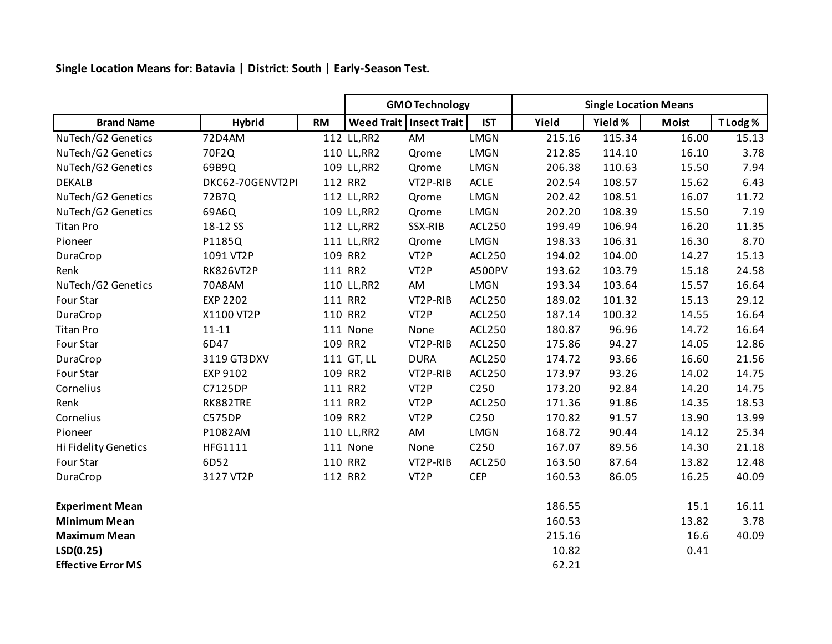**Single Location Means for: Batavia | District: South | Early-Season Test.**

|                           |                  |           | <b>GMO Technology</b> |                           |               | <b>Single Location Means</b> |         |              |          |
|---------------------------|------------------|-----------|-----------------------|---------------------------|---------------|------------------------------|---------|--------------|----------|
| <b>Brand Name</b>         | <b>Hybrid</b>    | <b>RM</b> |                       | Weed Trait   Insect Trait | <b>IST</b>    | Yield                        | Yield % | <b>Moist</b> | T Lodg % |
| NuTech/G2 Genetics        | 72D4AM           |           | 112 LL, RR2           | AM                        | <b>LMGN</b>   | 215.16                       | 115.34  | 16.00        | 15.13    |
| NuTech/G2 Genetics        | 70F2Q            |           | 110 LL, RR2           | Qrome                     | <b>LMGN</b>   | 212.85                       | 114.10  | 16.10        | 3.78     |
| NuTech/G2 Genetics        | 69B9Q            |           | 109 LL, RR2           | Qrome                     | <b>LMGN</b>   | 206.38                       | 110.63  | 15.50        | 7.94     |
| <b>DEKALB</b>             | DKC62-70GENVT2PI |           | 112 RR2               | VT2P-RIB                  | <b>ACLE</b>   | 202.54                       | 108.57  | 15.62        | 6.43     |
| NuTech/G2 Genetics        | 72B7Q            |           | 112 LL, RR2           | Qrome                     | <b>LMGN</b>   | 202.42                       | 108.51  | 16.07        | 11.72    |
| NuTech/G2 Genetics        | 69A6Q            |           | 109 LL, RR2           | Qrome                     | LMGN          | 202.20                       | 108.39  | 15.50        | 7.19     |
| <b>Titan Pro</b>          | 18-12 SS         |           | 112 LL, RR2           | SSX-RIB                   | <b>ACL250</b> | 199.49                       | 106.94  | 16.20        | 11.35    |
| Pioneer                   | P1185Q           |           | 111 LL, RR2           | Qrome                     | LMGN          | 198.33                       | 106.31  | 16.30        | 8.70     |
| DuraCrop                  | 1091 VT2P        |           | 109 RR2               | VT <sub>2</sub> P         | ACL250        | 194.02                       | 104.00  | 14.27        | 15.13    |
| Renk                      | <b>RK826VT2P</b> |           | 111 RR2               | VT <sub>2</sub> P         | A500PV        | 193.62                       | 103.79  | 15.18        | 24.58    |
| NuTech/G2 Genetics        | 70A8AM           |           | 110 LL, RR2           | AM                        | LMGN          | 193.34                       | 103.64  | 15.57        | 16.64    |
| Four Star                 | <b>EXP 2202</b>  |           | 111 RR2               | VT2P-RIB                  | <b>ACL250</b> | 189.02                       | 101.32  | 15.13        | 29.12    |
| DuraCrop                  | X1100 VT2P       |           | 110 RR2               | VT <sub>2</sub> P         | ACL250        | 187.14                       | 100.32  | 14.55        | 16.64    |
| <b>Titan Pro</b>          | $11 - 11$        |           | 111 None              | None                      | ACL250        | 180.87                       | 96.96   | 14.72        | 16.64    |
| Four Star                 | 6D47             |           | 109 RR2               | VT2P-RIB                  | ACL250        | 175.86                       | 94.27   | 14.05        | 12.86    |
| DuraCrop                  | 3119 GT3DXV      |           | 111 GT, LL            | <b>DURA</b>               | ACL250        | 174.72                       | 93.66   | 16.60        | 21.56    |
| Four Star                 | EXP 9102         |           | 109 RR2               | VT2P-RIB                  | ACL250        | 173.97                       | 93.26   | 14.02        | 14.75    |
| Cornelius                 | C7125DP          |           | 111 RR2               | VT <sub>2</sub> P         | C250          | 173.20                       | 92.84   | 14.20        | 14.75    |
| Renk                      | RK882TRE         |           | 111 RR2               | VT <sub>2</sub> P         | ACL250        | 171.36                       | 91.86   | 14.35        | 18.53    |
| Cornelius                 | C575DP           |           | 109 RR2               | VT <sub>2</sub> P         | C250          | 170.82                       | 91.57   | 13.90        | 13.99    |
| Pioneer                   | P1082AM          |           | 110 LL, RR2           | AM                        | LMGN          | 168.72                       | 90.44   | 14.12        | 25.34    |
| Hi Fidelity Genetics      | <b>HFG1111</b>   |           | 111 None              | None                      | C250          | 167.07                       | 89.56   | 14.30        | 21.18    |
| Four Star                 | 6D52             |           | 110 RR2               | VT2P-RIB                  | ACL250        | 163.50                       | 87.64   | 13.82        | 12.48    |
| DuraCrop                  | 3127 VT2P        |           | 112 RR2               | VT <sub>2</sub> P         | <b>CEP</b>    | 160.53                       | 86.05   | 16.25        | 40.09    |
| <b>Experiment Mean</b>    |                  |           |                       |                           |               | 186.55                       |         | 15.1         | 16.11    |
| <b>Minimum Mean</b>       |                  |           |                       |                           |               | 160.53                       |         | 13.82        | 3.78     |
| <b>Maximum Mean</b>       |                  |           |                       |                           |               | 215.16                       |         | 16.6         | 40.09    |
| LSD(0.25)                 |                  |           |                       |                           |               | 10.82                        |         | 0.41         |          |
| <b>Effective Error MS</b> |                  |           |                       |                           |               | 62.21                        |         |              |          |